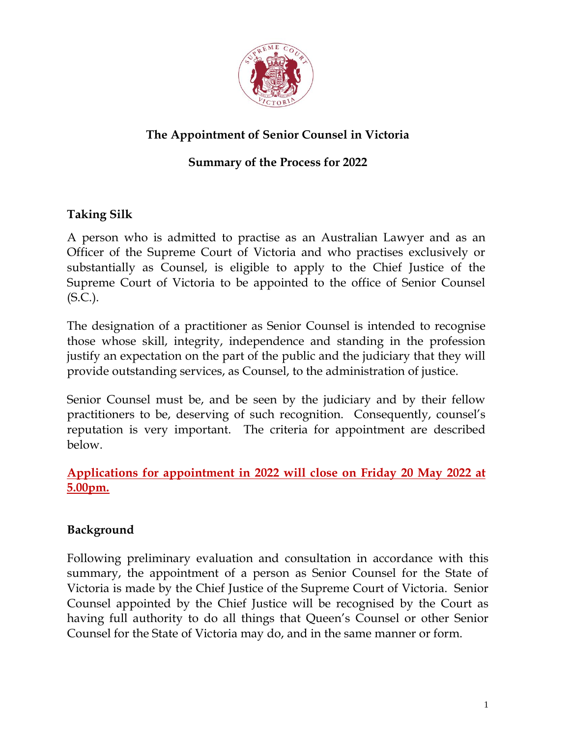

# **The Appointment of Senior Counsel in Victoria**

# **Summary of the Process for 2022**

# **Taking Silk**

A person who is admitted to practise as an Australian Lawyer and as an Officer of the Supreme Court of Victoria and who practises exclusively or substantially as Counsel, is eligible to apply to the Chief Justice of the Supreme Court of Victoria to be appointed to the office of Senior Counsel (S.C.).

The designation of a practitioner as Senior Counsel is intended to recognise those whose skill, integrity, independence and standing in the profession justify an expectation on the part of the public and the judiciary that they will provide outstanding services, as Counsel, to the administration of justice.

Senior Counsel must be, and be seen by the judiciary and by their fellow practitioners to be, deserving of such recognition. Consequently, counsel's reputation is very important. The criteria for appointment are described below.

### **Applications for appointment in 2022 will close on Friday 20 May 2022 at 5.00pm.**

## **Background**

Following preliminary evaluation and consultation in accordance with this summary, the appointment of a person as Senior Counsel for the State of Victoria is made by the Chief Justice of the Supreme Court of Victoria. Senior Counsel appointed by the Chief Justice will be recognised by the Court as having full authority to do all things that Queen's Counsel or other Senior Counsel for the State of Victoria may do, and in the same manner or form.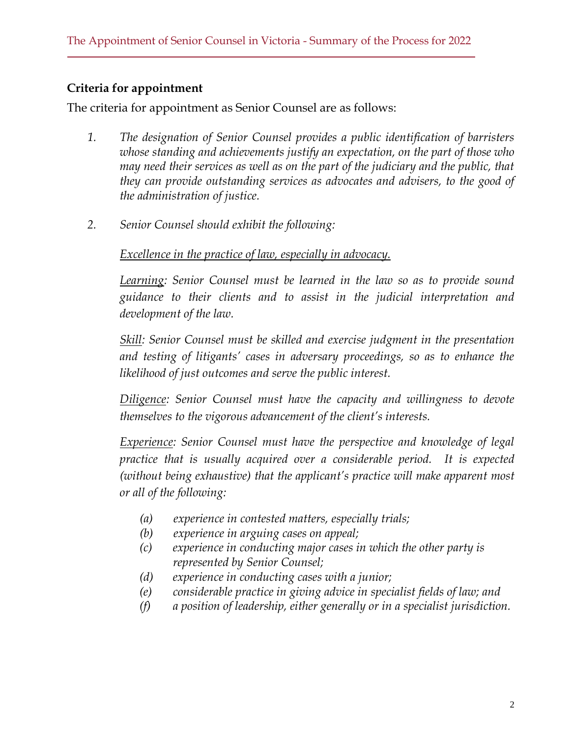# **Criteria for appointment**

The criteria for appointment as Senior Counsel are as follows:

- *1. The designation of Senior Counsel provides a public identification of barristers whose standing and achievements justify an expectation, on the part of those who may need their services as well as on the part of the judiciary and the public, that they can provide outstanding services as advocates and advisers, to the good of the administration of justice.*
- *2. Senior Counsel should exhibit the following:*

### *Excellence in the practice of law, especially in advocacy.*

*Learning: Senior Counsel must be learned in the law so as to provide sound guidance to their clients and to assist in the judicial interpretation and development of the law.*

*Skill: Senior Counsel must be skilled and exercise judgment in the presentation* and testing of litigants' cases in adversary proceedings, so as to enhance the *likelihood of just outcomes and serve the public interest.*

*Diligence: Senior Counsel must have the capacity and willingness to devote themselves to the vigorous advancement of the client's interests.*

*Experience: Senior Counsel must have the perspective and knowledge of legal practice that is usually acquired over a considerable period. It is expected (without being exhaustive) that the applicant's practice will make apparent most or all of the following:*

- *(a) experience in contested matters, especially trials;*
- *(b) experience in arguing cases on appeal;*
- *(c) experience in conducting major cases in which the other party is represented by Senior Counsel;*
- *(d) experience in conducting cases with a junior;*
- *(e) considerable practice in giving advice in specialist fields of law; and*
- *(f) a position of leadership, either generally or in a specialist jurisdiction.*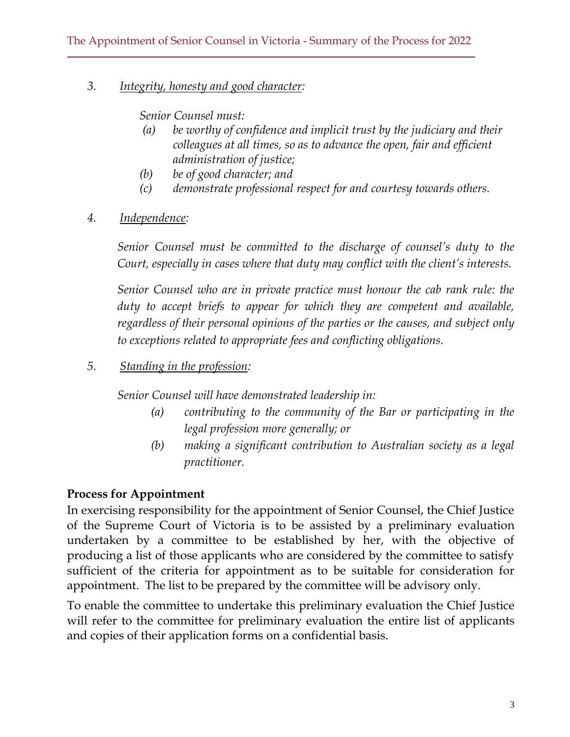#### *3. Integrity, honesty and good character:*

*Senior Counsel must:*

- *(a) be worthy of confidence and implicit trust by the judiciary and their colleagues at all times, so as to advance the open, fair and efficient administration of justice;*
- *(b) be of good character; and*
- *(c) demonstrate professional respect for and courtesy towards others.*
- *4. Independence:*

*Senior Counsel must be committed to the discharge of counsel's duty to the Court, especially in cases where that duty may conflict with the client's interests.*

*Senior Counsel who are in private practice must honour the cab rank rule: the duty to accept briefs to appear for which they are competent and available, regardless of their personal opinions of the parties or the causes, and subject only to exceptions related to appropriate fees and conflicting obligations.*

*5. Standing in the profession:*

*Senior Counsel will have demonstrated leadership in:*

- *(a) contributing to the community of the Bar or participating in the legal profession more generally; or*
- *(b) making a significant contribution to Australian society as a legal practitioner.*

# **Process for Appointment**

In exercising responsibility for the appointment of Senior Counsel, the Chief Justice of the Supreme Court of Victoria is to be assisted by a preliminary evaluation undertaken by a committee to be established by her, with the objective of producing a list of those applicants who are considered by the committee to satisfy sufficient of the criteria for appointment as to be suitable for consideration for appointment. The list to be prepared by the committee will be advisory only.

To enable the committee to undertake this preliminary evaluation the Chief Justice will refer to the committee for preliminary evaluation the entire list of applicants and copies of their application forms on a confidential basis.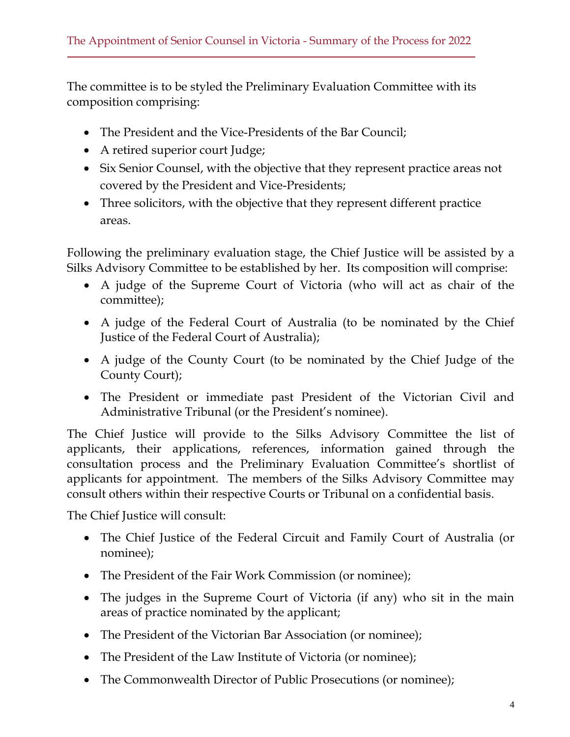The committee is to be styled the Preliminary Evaluation Committee with its composition comprising:

- The President and the Vice-Presidents of the Bar Council;
- A retired superior court Judge;
- Six Senior Counsel, with the objective that they represent practice areas not covered by the President and Vice-Presidents;
- Three solicitors, with the objective that they represent different practice areas.

Following the preliminary evaluation stage, the Chief Justice will be assisted by a Silks Advisory Committee to be established by her. Its composition will comprise:

- A judge of the Supreme Court of Victoria (who will act as chair of the committee);
- A judge of the Federal Court of Australia (to be nominated by the Chief Justice of the Federal Court of Australia);
- A judge of the County Court (to be nominated by the Chief Judge of the County Court);
- The President or immediate past President of the Victorian Civil and Administrative Tribunal (or the President's nominee).

The Chief Justice will provide to the Silks Advisory Committee the list of applicants, their applications, references, information gained through the consultation process and the Preliminary Evaluation Committee's shortlist of applicants for appointment. The members of the Silks Advisory Committee may consult others within their respective Courts or Tribunal on a confidential basis.

The Chief Justice will consult:

- The Chief Justice of the Federal Circuit and Family Court of Australia (or nominee);
- The President of the Fair Work Commission (or nominee);
- The judges in the Supreme Court of Victoria (if any) who sit in the main areas of practice nominated by the applicant;
- The President of the Victorian Bar Association (or nominee);
- The President of the Law Institute of Victoria (or nominee);
- The Commonwealth Director of Public Prosecutions (or nominee);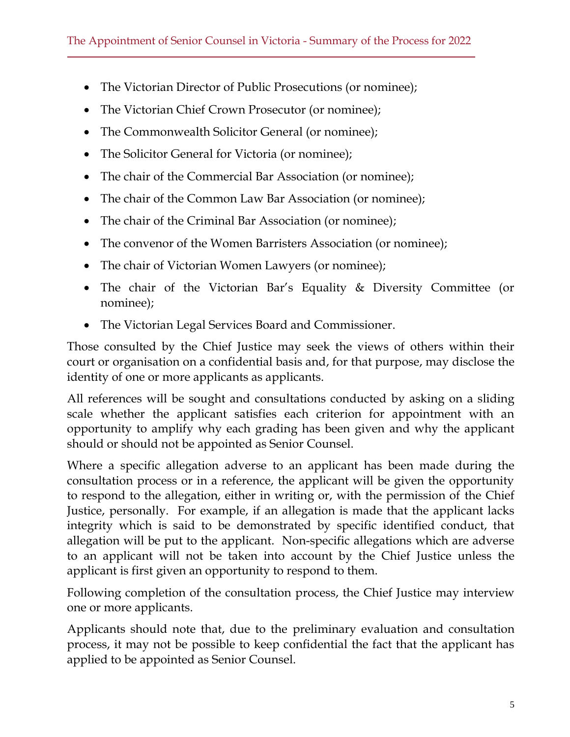- The Victorian Director of Public Prosecutions (or nominee);
- The Victorian Chief Crown Prosecutor (or nominee);
- The Commonwealth Solicitor General (or nominee);
- The Solicitor General for Victoria (or nominee);
- The chair of the Commercial Bar Association (or nominee);
- The chair of the Common Law Bar Association (or nominee);
- The chair of the Criminal Bar Association (or nominee);
- The convenor of the Women Barristers Association (or nominee);
- The chair of Victorian Women Lawyers (or nominee);
- The chair of the Victorian Bar's Equality & Diversity Committee (or nominee);
- The Victorian Legal Services Board and Commissioner.

Those consulted by the Chief Justice may seek the views of others within their court or organisation on a confidential basis and, for that purpose, may disclose the identity of one or more applicants as applicants.

All references will be sought and consultations conducted by asking on a sliding scale whether the applicant satisfies each criterion for appointment with an opportunity to amplify why each grading has been given and why the applicant should or should not be appointed as Senior Counsel.

Where a specific allegation adverse to an applicant has been made during the consultation process or in a reference, the applicant will be given the opportunity to respond to the allegation, either in writing or, with the permission of the Chief Justice, personally. For example, if an allegation is made that the applicant lacks integrity which is said to be demonstrated by specific identified conduct, that allegation will be put to the applicant. Non-specific allegations which are adverse to an applicant will not be taken into account by the Chief Justice unless the applicant is first given an opportunity to respond to them.

Following completion of the consultation process, the Chief Justice may interview one or more applicants.

Applicants should note that, due to the preliminary evaluation and consultation process, it may not be possible to keep confidential the fact that the applicant has applied to be appointed as Senior Counsel.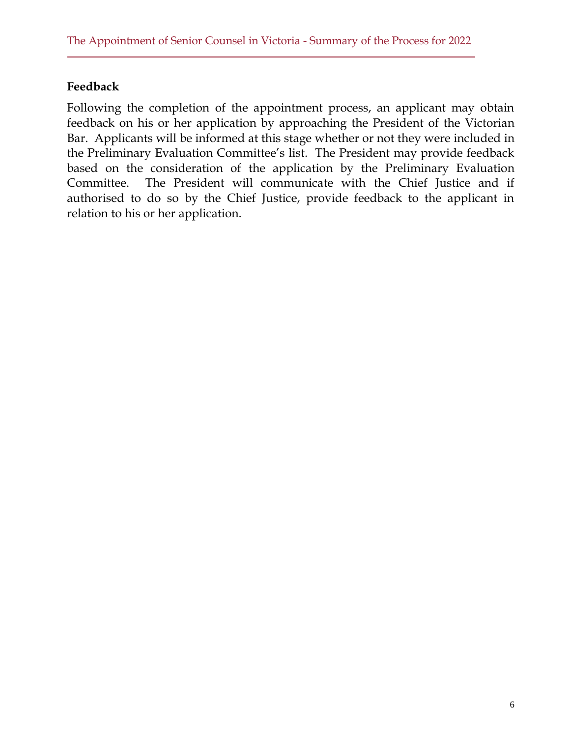#### **Feedback**

Following the completion of the appointment process, an applicant may obtain feedback on his or her application by approaching the President of the Victorian Bar. Applicants will be informed at this stage whether or not they were included in the Preliminary Evaluation Committee's list. The President may provide feedback based on the consideration of the application by the Preliminary Evaluation Committee. The President will communicate with the Chief Justice and if authorised to do so by the Chief Justice, provide feedback to the applicant in relation to his or her application.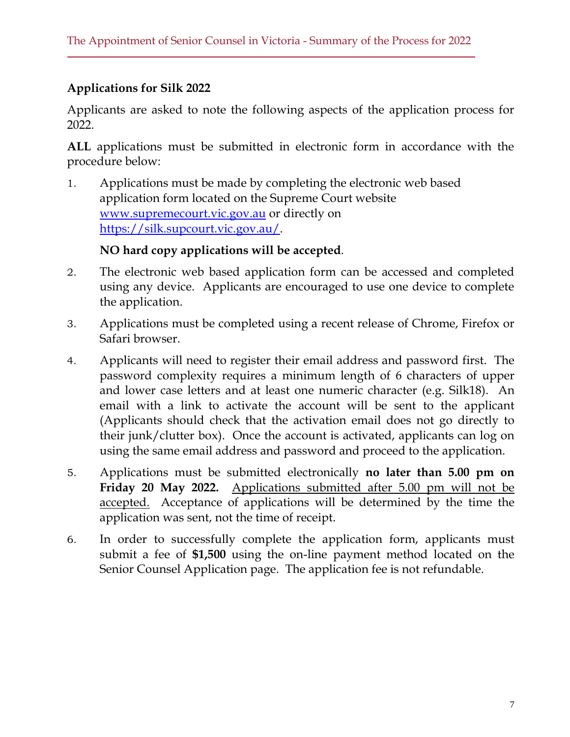### **Applications for Silk 2022**

Applicants are asked to note the following aspects of the application process for 2022.

**ALL** applications must be submitted in electronic form in accordance with the procedure below:

1. Applications must be made by completing the electronic web based application form located on the Supreme Court website [www.supremecourt.vic.gov.au](http://www.supremecourt.vic.gov.au/) or directly on [https://silk.supcourt.vic.gov.au/.](https://silk.supcourt.vic.gov.au/)

#### **NO hard copy applications will be accepted**.

- 2. The electronic web based application form can be accessed and completed using any device. Applicants are encouraged to use one device to complete the application.
- 3. Applications must be completed using a recent release of Chrome, Firefox or Safari browser.
- 4. Applicants will need to register their email address and password first. The password complexity requires a minimum length of 6 characters of upper and lower case letters and at least one numeric character (e.g. Silk18). An email with a link to activate the account will be sent to the applicant (Applicants should check that the activation email does not go directly to their junk/clutter box). Once the account is activated, applicants can log on using the same email address and password and proceed to the application.
- 5. Applications must be submitted electronically **no later than 5.00 pm on Friday 20 May 2022.** Applications submitted after 5.00 pm will not be accepted. Acceptance of applications will be determined by the time the application was sent, not the time of receipt.
- 6. In order to successfully complete the application form, applicants must submit a fee of **\$1,500** using the on-line payment method located on the Senior Counsel Application page. The application fee is not refundable.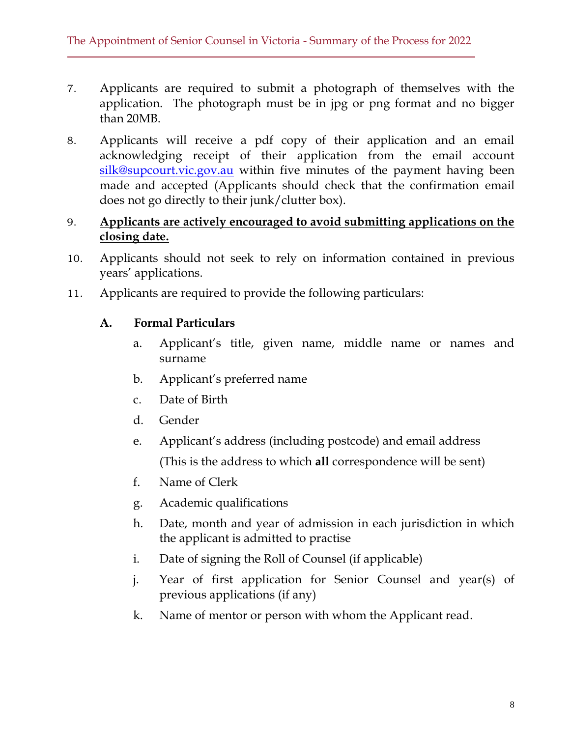- 7. Applicants are required to submit a photograph of themselves with the application. The photograph must be in jpg or png format and no bigger than 20MB.
- 8. Applicants will receive a pdf copy of their application and an email acknowledging receipt of their application from the email account [silk@supcourt.vic.gov.au](mailto:silk@supcourt.vic.gov.au) within five minutes of the payment having been made and accepted (Applicants should check that the confirmation email does not go directly to their junk/clutter box).

#### 9. **Applicants are actively encouraged to avoid submitting applications on the closing date.**

- 10. Applicants should not seek to rely on information contained in previous years' applications.
- 11. Applicants are required to provide the following particulars:

#### **A. Formal Particulars**

- a. Applicant's title, given name, middle name or names and surname
- b. Applicant's preferred name
- c. Date of Birth
- d. Gender
- e. Applicant's address (including postcode) and email address (This is the address to which **all** correspondence will be sent)
- f. Name of Clerk
- g. Academic qualifications
- h. Date, month and year of admission in each jurisdiction in which the applicant is admitted to practise
- i. Date of signing the Roll of Counsel (if applicable)
- j. Year of first application for Senior Counsel and year(s) of previous applications (if any)
- k. Name of mentor or person with whom the Applicant read.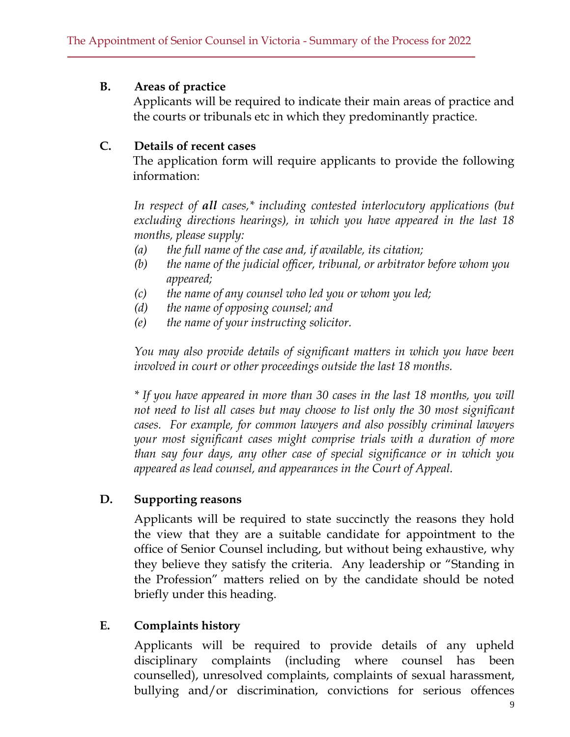#### **B. Areas of practice**

Applicants will be required to indicate their main areas of practice and the courts or tribunals etc in which they predominantly practice.

#### **C. Details of recent cases**

The application form will require applicants to provide the following information:

*In respect of all cases,\* including contested interlocutory applications (but excluding directions hearings), in which you have appeared in the last 18 months, please supply:*

- *(a) the full name of the case and, if available, its citation;*
- *(b) the name of the judicial officer, tribunal, or arbitrator before whom you appeared;*
- *(c) the name of any counsel who led you or whom you led;*
- *(d) the name of opposing counsel; and*
- *(e) the name of your instructing solicitor.*

*You may also provide details of significant matters in which you have been involved in court or other proceedings outside the last 18 months.*

*\* If you have appeared in more than 30 cases in the last 18 months, you will not need to list all cases but may choose to list only the 30 most significant cases. For example, for common lawyers and also possibly criminal lawyers your most significant cases might comprise trials with a duration of more than say four days, any other case of special significance or in which you appeared as lead counsel, and appearances in the Court of Appeal.* 

#### **D. Supporting reasons**

Applicants will be required to state succinctly the reasons they hold the view that they are a suitable candidate for appointment to the office of Senior Counsel including, but without being exhaustive, why they believe they satisfy the criteria. Any leadership or "Standing in the Profession" matters relied on by the candidate should be noted briefly under this heading.

## **E. Complaints history**

Applicants will be required to provide details of any upheld disciplinary complaints (including where counsel has been counselled), unresolved complaints, complaints of sexual harassment, bullying and/or discrimination, convictions for serious offences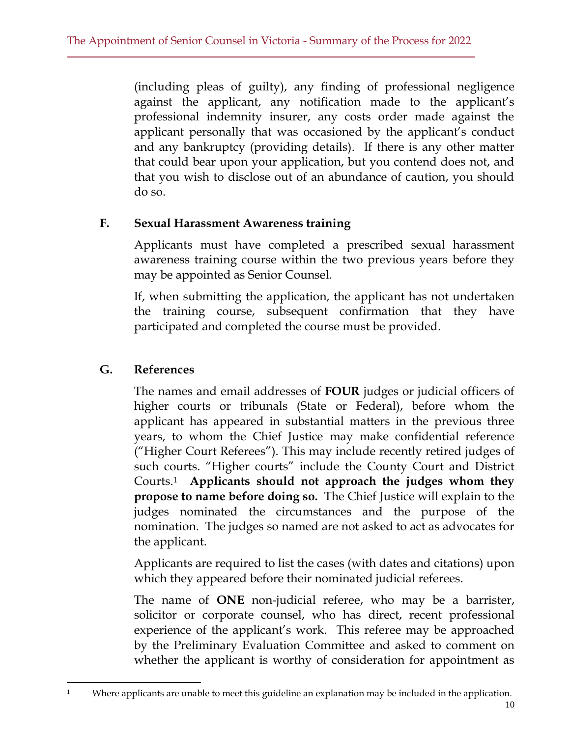(including pleas of guilty), any finding of professional negligence against the applicant, any notification made to the applicant's professional indemnity insurer, any costs order made against the applicant personally that was occasioned by the applicant's conduct and any bankruptcy (providing details). If there is any other matter that could bear upon your application, but you contend does not, and that you wish to disclose out of an abundance of caution, you should do so.

#### **F. Sexual Harassment Awareness training**

Applicants must have completed a prescribed sexual harassment awareness training course within the two previous years before they may be appointed as Senior Counsel.

If, when submitting the application, the applicant has not undertaken the training course, subsequent confirmation that they have participated and completed the course must be provided.

## **G. References**

The names and email addresses of **FOUR** judges or judicial officers of higher courts or tribunals (State or Federal), before whom the applicant has appeared in substantial matters in the previous three years, to whom the Chief Justice may make confidential reference ("Higher Court Referees"). This may include recently retired judges of such courts. "Higher courts" include the County Court and District Courts. <sup>1</sup> **Applicants should not approach the judges whom they propose to name before doing so.** The Chief Justice will explain to the judges nominated the circumstances and the purpose of the nomination. The judges so named are not asked to act as advocates for the applicant.

Applicants are required to list the cases (with dates and citations) upon which they appeared before their nominated judicial referees.

The name of **ONE** non-judicial referee, who may be a barrister, solicitor or corporate counsel, who has direct, recent professional experience of the applicant's work. This referee may be approached by the Preliminary Evaluation Committee and asked to comment on whether the applicant is worthy of consideration for appointment as

<sup>&</sup>lt;sup>1</sup> Where applicants are unable to meet this guideline an explanation may be included in the application.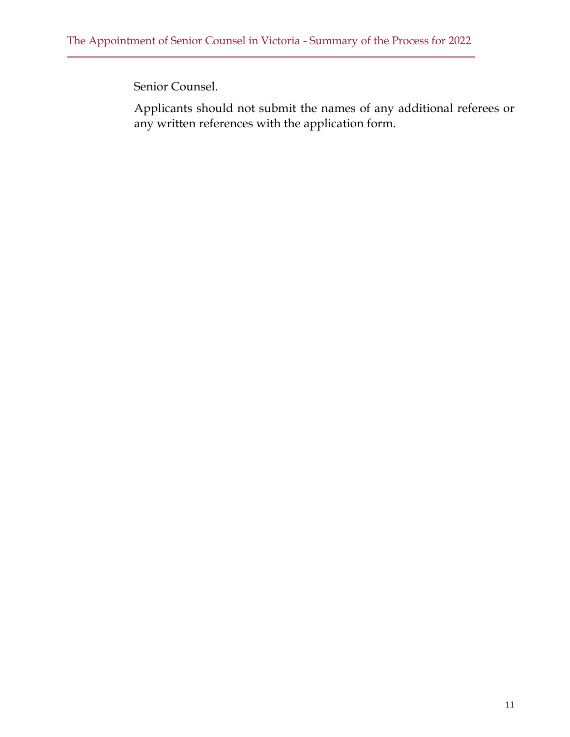Senior Counsel.

Applicants should not submit the names of any additional referees or any written references with the application form.